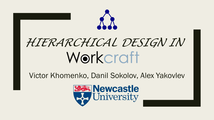

Victor Khomenko, Danil Sokolov, Alex Yakovlev

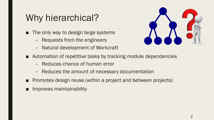### Why hierarchical?

- The only way to design large systems
	- Requests from the engineers
	- Natural development of Workcraft



- Automation of repetitive tasks by tracking module dependencies
	- Reduces chance of human error
	- Reduces the amount of necessary documentation
- Promotes design reuse (within a project and between projects)
- Improves maintainability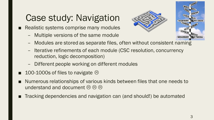# Case study: Navigation

■ Realistic systems comprise many modules

– Multiple versions of the same module





- Modules are stored as separate files, often without consistent naming
- Iterative refinements of each module (CSC resolution, concurrency reduction, logic decomposition)
- Different people working on different modules
- 100-1000s of files to navigate  $\odot$
- Numerous relationships of various kinds between files that one needs to understand and document  $\circledcirc \circledcirc$
- Tracking dependencies and navigation can (and should!) be automated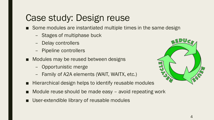## Case study: Design reuse

■ Some modules are instantiated multiple times in the same design

- Stages of multiphase buck
- Delay controllers
- Pipeline controllers
- Modules may be reused between designs
	- Opportunistic merge
	- Family of A2A elements (WAIT, WAITX, etc.)
- Hierarchical design helps to identify reusable modules
- Module reuse should be made easy avoid repeating work
- User-extendible library of reusable modules

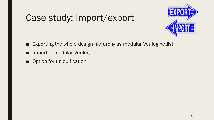## Case study: Import/export



- Exporting the whole design hierarchy as modular Verilog netlist
- Import of modular Verilog
- Option for uniquification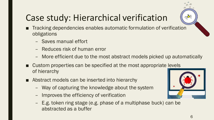# Case study: Hierarchical verification

- Tracking dependencies enables automatic formulation of verification obligations
	- Saves manual effort
	- Reduces risk of human error
	- More efficient due to the most abstract models picked up automatically
- Custom properties can be specified at the most appropriate levels of hierarchy
- Abstract models can be inserted into hierarchy
	- Way of capturing the knowledge about the system
	- Improves the efficiency of verification
	- E.g. token ring stage (e.g. phase of a multiphase buck) can be abstracted as a buffer



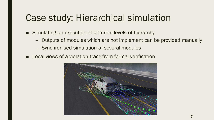#### Case study: Hierarchical simulation

- Simulating an execution at different levels of hierarchy
	- Outputs of modules which are not implement can be provided manually
	- Synchronised simulation of several modules
- Local views of a violation trace from formal verification

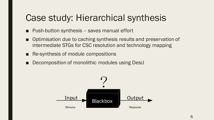#### Case study: Hierarchical synthesis

- Push-button synthesis saves manual effort
- Optimisation due to caching synthesis results and preservation of intermediate STGs for CSC resolution and technology mapping
- Re-synthesis of module compositions
- Decomposition of monolithic modules using DesiJ

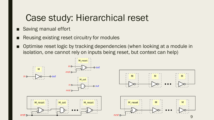#### Case study: Hierarchical reset

- Saving manual effort
- Reusing existing reset circuitry for modules
- Optimise reset logic by tracking dependencies (when looking at a module in isolation, one cannot rely on inputs being reset, but context can help)

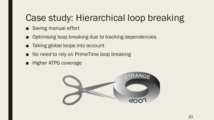## Case study: Hierarchical loop breaking

- Saving manual effort
- Optimising loop breaking due to tracking dependencies
- Taking global loops into account
- No need to rely on PrimeTime loop breaking
- Higher ATPG coverage

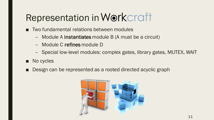# Representation in Workcraft

- Two fundamental relations between modules
	- Module A instantiates module B (A must be a circuit)
	- Module C refines module D
	- Special low-level modules: complex gates, library gates, MUTEX, WAIT
- No cycles
- Design can be represented as a rooted directed acyclic graph

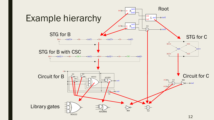